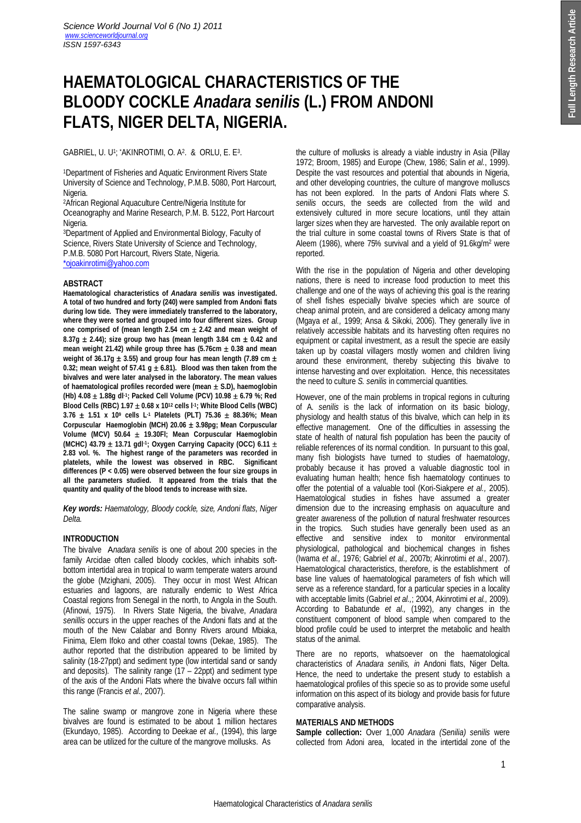# **HAEMATOLOGICAL CHARACTERISTICS OF THE BLOODY COCKLE** *Anadara senilis* **(L.) FROM ANDONI FLATS, NIGER DELTA, NIGERIA.**

## $GABRIEL$ , U. U<sup>1</sup>;  $^*AKINROTIMI$ , O. A<sup>2</sup>. & ORLU, E. E<sup>3</sup>.

<sup>1</sup>Department of Fisheries and Aquatic Environment Rivers State University of Science and Technology, P.M.B. 5080, Port Harcourt, Nigeria.

<sup>2</sup>African Regional Aquaculture Centre/Nigeria Institute for Oceanography and Marine Research, P.M. B. 5122, Port Harcourt Nigeria.

<sup>3</sup>Department of Applied and Environmental Biology, Faculty of Science, Rivers State University of Science and Technology, P.M.B. 5080 Port Harcourt, Rivers State, Nigeria. \*ojoakinrotimi@yahoo.com

## **ABSTRACT**

**Haematological characteristics of** *Anadara senilis* **was investigated. A total of two hundred and forty (240) were sampled from Andoni flats during low tide. They were immediately transferred to the laboratory, where they were sorted and grouped into four different sizes. Group one comprised of (mean length 2.54 cm 2.42 and mean weight of**   $8.37g \pm 2.44$ ; size group two has (mean length 3.84 cm  $\pm$  0.42 and mean weight 21.42) while group three has  $(5.76 \text{cm} \pm 0.38 \text{ and mean})$ weight of 36.17g  $\pm$  3.55) and group four has mean length (7.89 cm  $\pm$ 0.32; mean weight of 57.41  $g \pm 6.81$ ). Blood was then taken from the **bivalves and were later analysed in the laboratory. The mean values of haematological profiles recorded were (mean S.D), haemoglobin (Hb) 4.08 1.88g dl-1 ; Packed Cell Volume (PCV) 10.98 6.79 %; Red Blood Cells (RBC) 1.97 0.68 x 10 <sup>12</sup> cells l-1 ; White Blood Cells (WBC) 3.76 1.51 x 10<sup>9</sup> cells L-1 Platelets (PLT) 75.36 88.36%; Mean Corpuscular Haemoglobin (MCH) 20.06 3.98pg; Mean Corpuscular Volume (MCV) 50.64 19.30Fl; Mean Corpuscular Haemoglobin (MCHC) 43.79 13.71 gdl-1 ; Oxygen Carrying Capacity (OCC) 6.11 2.83 vol. %. The highest range of the parameters was recorded in platelets, while the lowest was observed in RBC. Significant differences (P < 0.05) were observed between the four size groups in all the parameters studied. It appeared from the trials that the quantity and quality of the blood tends to increase with size.** 

*Key words: Haematology, Bloody cockle, size, Andoni flats, Niger Delta.*

# **INTRODUCTION**

The bivalve A*nadara senilis* is one of about 200 species in the family Arcidae often called bloody cockles, which inhabits softbottom intertidal area in tropical to warm temperate waters around the globe (Mzighani, 2005). They occur in most West African estuaries and lagoons, are naturally endemic to West Africa Coastal regions from Senegal in the north, to Angola in the South. (Afinowi, 1975). In Rivers State Nigeria, the bivalve, *Anadara senillis* occurs in the upper reaches of the Andoni flats and at the mouth of the New Calabar and Bonny Rivers around Mbiaka, Finima, Elem Ifoko and other coastal towns (Dekae, 1985). The author reported that the distribution appeared to be limited by salinity (18-27ppt) and sediment type (low intertidal sand or sandy and deposits). The salinity range (17 – 22ppt) and sediment type of the axis of the Andoni Flats where the bivalve occurs fall within this range (Francis *et al.,* 2007).

The saline swamp or mangrove zone in Nigeria where these bivalves are found is estimated to be about 1 million hectares (Ekundayo, 1985). According to Deekae *et al.,* (1994), this large area can be utilized for the culture of the mangrove mollusks. As

the culture of mollusks is already a viable industry in Asia (Pillay 1972; Broom, 1985) and Europe (Chew, 1986; Salin *et al.*, 1999). Despite the vast resources and potential that abounds in Nigeria, and other developing countries, the culture of mangrove molluscs has not been explored. In the parts of Andoni Flats where *S. senilis* occurs, the seeds are collected from the wild and extensively cultured in more secure locations, until they attain larger sizes when they are harvested. The only available report on the trial culture in some coastal towns of Rivers State is that of Aleem (1986), where 75% survival and a yield of 91.6kg/m<sup>2</sup> were reported.

With the rise in the population of Nigeria and other developing nations, there is need to increase food production to meet this challenge and one of the ways of achieving this goal is the rearing of shell fishes especially bivalve species which are source of cheap animal protein, and are considered a delicacy among many (Mgaya *et al.,* 1999; Ansa & Sikoki, 2006). They generally live in relatively accessible habitats and its harvesting often requires no equipment or capital investment, as a result the specie are easily taken up by coastal villagers mostly women and children living around these environment, thereby subjecting this bivalve to intense harvesting and over exploitation. Hence, this necessitates the need to culture *S. senilis* in commercial quantities.

However, one of the main problems in tropical regions in culturing of A*. senilis* is the lack of information on its basic biology, physiology and health status of this bivalve, which can help in its effective management. One of the difficulties in assessing the state of health of natural fish population has been the paucity of reliable references of its normal condition. In pursuant to this goal, many fish biologists have turned to studies of haematology, probably because it has proved a valuable diagnostic tool in evaluating human health; hence fish haematology continues to offer the potential of a valuable tool (Kori-Siakpere *et al.,* 2005). Haematological studies in fishes have assumed a greater dimension due to the increasing emphasis on aquaculture and greater awareness of the pollution of natural freshwater resources in the tropics. Such studies have generally been used as an effective and sensitive index to monitor environmental physiological, pathological and biochemical changes in fishes (Iwama *et al.,* 1976; Gabriel *et al.,* 2007b; Akinrotimi *et al*., 2007). Haematological characteristics, therefore, is the establishment of base line values of haematological parameters of fish which will serve as a reference standard, for a particular species in a locality with acceptable limits (Gabriel *et al.,*; 2004, Akinrotimi *et al.,* 2009). According to Babatunde *et al.,* (1992), any changes in the constituent component of blood sample when compared to the blood profile could be used to interpret the metabolic and health status of the animal.

There are no reports, whatsoever on the haematological characteristics of *Anadara senilis, in* Andoni flats, Niger Delta. Hence, the need to undertake the present study to establish a haematological profiles of this specie so as to provide some useful information on this aspect of its biology and provide basis for future comparative analysis.

# **MATERIALS AND METHODS**

**Sample collection:** Over 1,000 *Anadara (Senilia) senilis* were collected from Adoni area, located in the intertidal zone of the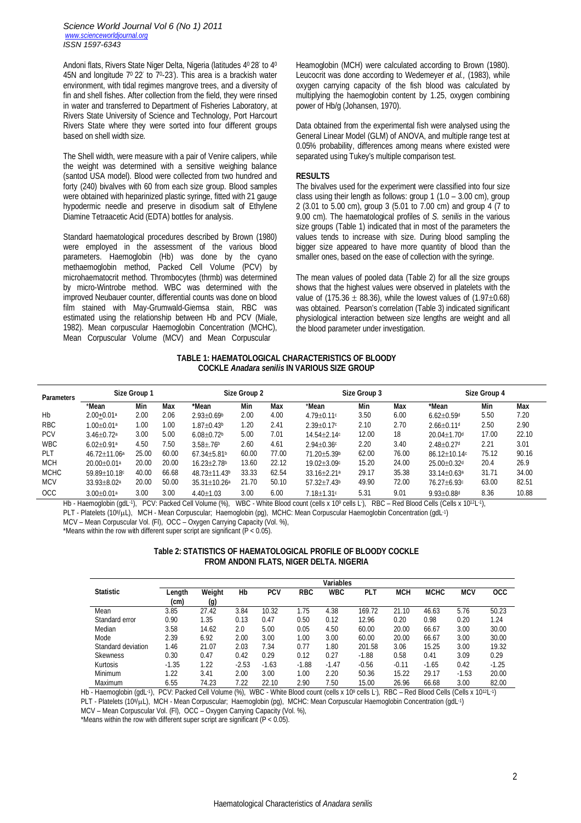Andoni flats, Rivers State Niger Delta, Nigeria (latitudes 4<sup>0</sup> 28' to 4<sup>0</sup> 45N and longitude  $7^{\circ}$  22' to  $7^{\circ}$ -23'). This area is a brackish water environment, with tidal regimes mangrove trees, and a diversity of fin and shell fishes. After collection from the field, they were rinsed in water and transferred to Department of Fisheries Laboratory, at Rivers State University of Science and Technology, Port Harcourt Rivers State where they were sorted into four different groups based on shell width size.

The Shell width, were measure with a pair of Venire calipers, while the weight was determined with a sensitive weighing balance (santod USA model). Blood were collected from two hundred and forty (240) bivalves with 60 from each size group. Blood samples were obtained with heparinized plastic syringe, fitted with 21 gauge hypodermic needle and preserve in disodium salt of Ethylene Diamine Tetraacetic Acid (EDTA) bottles for analysis.

Standard haematological procedures described by Brown (1980) were employed in the assessment of the various blood parameters. Haemoglobin (Hb) was done by the cyano methaemoglobin method, Packed Cell Volume (PCV) by microhaematocrit method. Thrombocytes (thrmb) was determined by micro-Wintrobe method. WBC was determined with the improved Neubauer counter, differential counts was done on blood film stained with May-Grumwald-Giemsa stain, RBC was estimated using the relationship between Hb and PCV (Miale, 1982). Mean corpuscular Haemoglobin Concentration (MCHC), Mean Corpuscular Volume (MCV) and Mean Corpuscular

Heamoglobin (MCH) were calculated according to Brown (1980). Leucocrit was done according to Wedemeyer *et al.,* (1983), while oxygen carrying capacity of the fish blood was calculated by multiplying the haemoglobin content by 1.25, oxygen combining power of Hb/g (Johansen, 1970).

Data obtained from the experimental fish were analysed using the General Linear Model (GLM) of ANOVA, and multiple range test at 0.05% probability, differences among means where existed were separated using Tukey's multiple comparison test.

#### **RESULTS**

The bivalves used for the experiment were classified into four size class using their length as follows: group 1 (1.0 – 3.00 cm), group 2 (3.01 to 5.00 cm), group 3 (5.01 to 7.00 cm) and group 4 (7 to 9.00 cm). The haematological profiles of *S. senilis* in the various size groups (Table 1) indicated that in most of the parameters the values tends to increase with size. During blood sampling the bigger size appeared to have more quantity of blood than the smaller ones, based on the ease of collection with the syringe.

The mean values of pooled data (Table 2) for all the size groups shows that the highest values were observed in platelets with the value of (175.36  $\pm$  88.36), while the lowest values of (1.97 $\pm$ 0.68) was obtained. Pearson's correlation (Table 3) indicated significant physiological interaction between size lengths are weight and all the blood parameter under investigation.

#### **TABLE 1: HAEMATOLOGICAL CHARACTERISTICS OF BLOODY COCKLE** *Anadara senilis* **IN VARIOUS SIZE GROUP**

| <b>Parameters</b> | Size Group 1                 |       |            | Size Group 2                |       |       | Size Group 3                |       |       | <b>Size Group 4</b>         |       |       |
|-------------------|------------------------------|-------|------------|-----------------------------|-------|-------|-----------------------------|-------|-------|-----------------------------|-------|-------|
|                   | *Mean                        | Min   | <b>Max</b> | *Mean                       | Min   | Max   | *Mean                       | Min   | Max   | *Mean                       | Min   | Max   |
| Hb                | $2.00 + 0.01$ <sup>a</sup>   | 2.00  | 2.06       | $2.93 + 0.69$               | 2.00  | 4.00  | $4.79 + 0.11c$              | 3.50  | 6.00  | $6.62 + 0.59$ d             | 5.50  | 7.20  |
| <b>RBC</b>        | $1.00 + 0.01a$               | 00.1  | 00.1       | $1.87 + 0.43$               | 1.20  | 2.41  | $2.39 + 0.17c$              | 2.10  | 2.70  | $2.66 + 0.11$ <sup>d</sup>  | 2.50  | 2.90  |
| <b>PCV</b>        | $3.46 \pm 0.72$ <sup>a</sup> | 3.00  | 5.00       | $6.08 + 0.72$               | 5.00  | 7.01  | $14.54 + 2.14c$             | 12.00 | 18    | $20.04 + 1.70$ d            | 17.00 | 22.10 |
| <b>WBC</b>        | $6.02 + 0.91a$               | 4.50  | 1.50       | $3.58 \pm .76$ <sup>b</sup> | 2.60  | 4.61  | $2.94 + 0.36c$              | 2.20  | 3.40  | $2.48 + 0.27$ d             | 2.21  | 3.01  |
| <b>PLT</b>        | 46.72+11.06 <sup>a</sup>     | 25.00 | 60.00      | $67.34 + 5.81$              | 60.00 | 77.00 | 71.20+5.39b                 | 62.00 | 76.00 | $86.12 + 10.14c$            | 75.12 | 90.16 |
| <b>MCH</b>        | $20.00 + 0.01a$              | 20.00 | 20.00      | $16.23 + 2.78$              | 13.60 | 22.12 | $19.02 + 3.09c$             | 15.20 | 24.00 | $25.00 + 0.32$ d            | 20.4  | 26.9  |
| <b>MCHC</b>       | 59.89+10.18c                 | 40.00 | 66.68      | $48.73 + 11.43b$            | 33.33 | 62.54 | $33.16 + 2.21$ <sup>a</sup> | 29.17 | 35.38 | $33.14 + 0.63$ <sup>a</sup> | 31.71 | 34.00 |
| <b>MCV</b>        | $33.93 + 8.02a$              | 20.00 | 50.00      | $35.31 + 10.26a$            | 21.70 | 50.10 | $57.32 + 7.43$              | 49.90 | 72.00 | $76.27 + 6.93c$             | 63.00 | 82.51 |
| <b>OCC</b>        | $3.00 \pm 0.01$ <sup>a</sup> | 3.00  | 3.00       | $4.40 + 1.03$               | 3.00  | 6.00  | $7.18 + 1.31c$              | 5.31  | 9.01  | $9.93 + 0.88$ d             | 8.36  | 10.88 |

Hb - Haemoglobin (gdL·1), PCV: Packed Cell Volume (%), WBC - White Blood count (cells x 10° cells L·), RBC – Red Blood Cells (Cells x 10<sup>12</sup>L·1),

PLT - Platelets (10<sup>g</sup>/µL), MCH - Mean Corpuscular; Haemoglobin (pg), MCHC: Mean Corpuscular Haemoglobin Concentration (gdL<sup>-1</sup>)

MCV – Mean Corpuscular Vol. (Fl), OCC – Oxygen Carrying Capacity (Vol. %),

\*Means within the row with different super script are significant ( $P < 0.05$ ).

| Table 2: STATISTICS OF HAEMATOLOGICAL PROFILE OF BLOODY COCKLE |
|----------------------------------------------------------------|
| FROM ANDONI FLATS, NIGER DELTA. NIGERIA                        |

|                    | <b>Variables</b> |              |         |            |            |            |         |            |             |            |            |
|--------------------|------------------|--------------|---------|------------|------------|------------|---------|------------|-------------|------------|------------|
| <b>Statistic</b>   | Length<br>(cm)   | Weight       | Hb      | <b>PCV</b> | <b>RBC</b> | <b>WBC</b> | PL 1    | <b>MCH</b> | <b>MCHC</b> | <b>MCV</b> | <b>OCC</b> |
| Mean               | 3.85             | (g)<br>27.42 | 3.84    | 10.32      | 1.75       | 4.38       | 169.72  | 21.10      | 46.63       | 5.76       | 50.23      |
| Standard error     | 0.90             | 1.35         | 0.13    | 0.47       | 0.50       | 0.12       | 12.96   | 0.20       | 0.98        | 0.20       | 1.24       |
| Median             | 3.58             | 14.62        | 2.0     | 5.00       | 0.05       | 4.50       | 60.00   | 20.00      | 66.67       | 3.00       | 30.00      |
| Mode               | 2.39             | 6.92         | 2.00    | 3.00       | 1.00       | 3.00       | 60.00   | 20.00      | 66.67       | 3.00       | 30.00      |
| Standard deviation | 1.46             | 21.07        | 2.03    | 7.34       | 0.77       | 1.80       | 201.58  | 3.06       | 15.25       | 3.00       | 19.32      |
| <b>Skewness</b>    | 0.30             | 0.47         | 0.42    | 0.29       | 0.12       | 0.27       | $-1.88$ | 0.58       | 0.41        | 3.09       | 0.29       |
| Kurtosis           | $-1.35$          | 1.22         | $-2.53$ | $-1.63$    | $-1.88$    | $-1.47$    | $-0.56$ | $-0.11$    | $-1.65$     | 0.42       | $-1.25$    |
| Minimum            | 1.22             | 3.41         | 2.00    | 3.00       | 1.00       | 2.20       | 50.36   | 15.22      | 29.17       | $-1.53$    | 20.00      |
| Maximum            | 6.55             | 74.23        | 7.22    | 22.10      | 2.90       | 7.50       | 15.00   | 26.96      | 66.68       | 3.00       | 82.00      |

Hb - Haemoglobin (gdL·1), PCV: Packed Cell Volume (%), WBC - White Blood count (cells x 10º cells L·), RBC – Red Blood Cells (Cells x 10º2L·1) PLT - Platelets (10%µL), MCH - Mean Corpuscular; Haemoglobin (pg), MCHC: Mean Corpuscular Haemoglobin Concentration (gdL·1)

MCV – Mean Corpuscular Vol. (Fl), OCC – Oxygen Carrying Capacity (Vol. %),

\*Means within the row with different super script are significant (P < 0.05).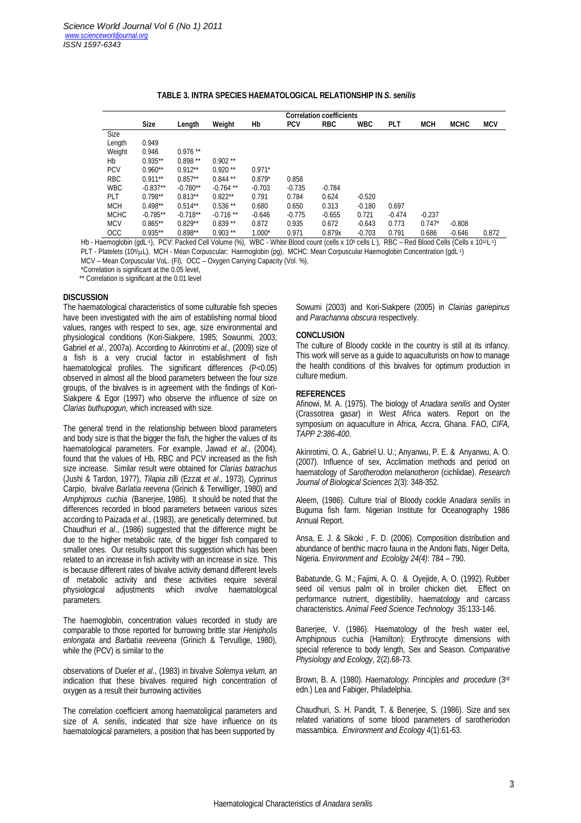|             |             | <b>Correlation coefficients</b> |             |          |            |            |            |            |            |             |            |  |
|-------------|-------------|---------------------------------|-------------|----------|------------|------------|------------|------------|------------|-------------|------------|--|
|             | <b>Size</b> | Length                          | Weight      | Hb       | <b>PCV</b> | <b>RBC</b> | <b>WBC</b> | <b>PLT</b> | <b>MCH</b> | <b>MCHC</b> | <b>MCV</b> |  |
| Size        |             |                                 |             |          |            |            |            |            |            |             |            |  |
| Length      | 0.949       |                                 |             |          |            |            |            |            |            |             |            |  |
| Weight      | 0.946       | $0.976**$                       |             |          |            |            |            |            |            |             |            |  |
| Hb          | $0.935**$   | $0.898**$                       | $0.902**$   |          |            |            |            |            |            |             |            |  |
| <b>PCV</b>  | $0.960**$   | $0.912**$                       | $0.920**$   | $0.971*$ |            |            |            |            |            |             |            |  |
| <b>RBC</b>  | $0.911**$   | $0.857**$                       | $0.844$ **  | $0.879*$ | 0.858      |            |            |            |            |             |            |  |
| <b>WBC</b>  | $-0.837**$  | $-0.780**$                      | $-0.764$ ** | $-0.703$ | $-0.735$   | $-0.784$   |            |            |            |             |            |  |
| PLT         | $0.798**$   | $0.813**$                       | $0.822**$   | 0.791    | 0.784      | 0.624      | $-0.520$   |            |            |             |            |  |
| <b>MCH</b>  | $0.498**$   | $0.514**$                       | $0.536**$   | 0.680    | 0.650      | 0.313      | $-0.180$   | 0.697      |            |             |            |  |
| <b>MCHC</b> | $-0.785**$  | $-0.718**$                      | $-0.716**$  | $-0.646$ | $-0.775$   | $-0.655$   | 0.721      | $-0.474$   | $-0.237$   |             |            |  |
| <b>MCV</b>  | $0.865**$   | $0.829**$                       | $0.839**$   | 0.872    | 0.935      | 0.672      | $-0.643$   | 0.773      | $0.747*$   | $-0.808$    |            |  |
| OCC         | $0.935**$   | $0.898**$                       | $0.903$ **  | $1.000*$ | 0.971      | 0.879x     | $-0.703$   | 0.791      | 0.686      | $-0.646$    | 0.872      |  |

#### **TABLE 3. INTRA SPECIES HAEMATOLOGICAL RELATIONSHIP IN** *S. senilis*

Hb - Haemoglobin (gdL·1), PCV: Packed Cell Volume (%), WBC - White Blood count (cells x 10º cells L·), RBC – Red Blood Cells (Cells x 10<sup>12</sup>L·1) PLT - Platelets (10%µL), MCH - Mean Corpuscular; Haemoglobin (pg), MCHC: Mean Corpuscular Haemoglobin Concentration (gdL·1)

MCV – Mean Corpuscular VoL. (Fl), OCC – Oxygen Carrying Capacity (Vol. %),

\*Correlation is significant at the 0.05 level,

\*\* Correlation is significant at the 0.01 level

## **DISCUSSION**

The haematological characteristics of some culturable fish species have been investigated with the aim of establishing normal blood values, ranges with respect to sex, age, size environmental and physiological conditions (Kori-Siakpere, 1985; Sowunmi, 2003; Gabriel *et al.,* 2007a). According to Akinrotimi *et al.,* (2009) size of a fish is a very crucial factor in establishment of fish haematological profiles. The significant differences (P<0.05) observed in almost all the blood parameters between the four size groups, of the bivalves is in agreement with the findings of Kori-Siakpere & Egor (1997) who observe the influence of size on *Clarias buthupogun*, which increased with size.

The general trend in the relationship between blood parameters and body size is that the bigger the fish, the higher the values of its haematological parameters. For example, Jawad *et al*., (2004), found that the values of Hb, RBC and PCV increased as the fish size increase. Similar result were obtained for *Clarias batrachus*  (Jushi & Tardon, 1977), *Tilapia zilli* (Ezzat *et al*., 1973), *Cyprinus*  Carpio, bivalve *Barlatia reevena* (Grinich & Terwilliger, 1980) and *Amphiprous cuchia* (Banerjee, 1986). It should be noted that the differences recorded in blood parameters between various sizes according to Paizada *et al*., (1983), are genetically determined, but Chaudhuri *et al*., (1986) suggested that the difference might be due to the higher metabolic rate, of the bigger fish compared to smaller ones. Our results support this suggestion which has been related to an increase in fish activity with an increase in size. This is because different rates of bivalve activity demand different levels of metabolic activity and these activities require several<br>physiological adiustments which involve haematological physiological adjustments which involve haematological parameters.

The haemoglobin, concentration values recorded in study are comparable to those reported for burrowing brittle star *Henipholis enlongata* and *Barbatia reeveena* (Grinich & Tervullige, 1980), while the (PCV) is similar to the

observations of Dueler *et al*., (1983) in bivalve *Solemya velum*, an indication that these bivalves required high concentration of oxygen as a result their burrowing activities

The correlation coefficient among haematoligical parameters and size of *A. senilis*, indicated that size have influence on its haematological parameters, a position that has been supported by

Sowumi (2003) and Kori-Siakpere (2005) in *Clairias gariepinus*  and *Parachanna obscura* respectively.

#### **CONCLUSION**

The culture of Bloody cockle in the country is still at its infancy. This work will serve as a guide to aquaculturists on how to manage the health conditions of this bivalves for optimum production in culture medium.

#### **REFERENCES**

Afinowi, M. A. (1975). The biology of *Anadara senilis* and Oyster (Crassotrea gasar) in West Africa waters. Report on the symposium on aquaculture in Africa, Accra, Ghana. FAO, *CIFA, TAPP 2:386-400*.

Akinrotimi, O. A., Gabriel U. U.; Anyanwu, P. E. & Anyanwu, A. O. (2007). Influence of sex, Acclimation methods and period on haematology of *Sarotherodon melanotheron* (cichlidae). *Research Journal of Biological Sciences* 2(3): 348-352.

Aleem, (1986). Culture trial of Bloody cockle *Anadara senilis* in Buguma fish farm. Nigerian Institute for Oceanography 1986 Annual Report.

Ansa, E. J. & Sikoki , F. D. (2006). Composition distribution and abundance of benthic macro fauna in the Andoni flats, Niger Delta, Nigeria. *Environment and Ecololgy 24(4)*: 784 – 790.

Babatunde, G. M.; Fajimi, A. O. & Oyejide, A. O. (1992). Rubber seed oil versus palm oil in broiler chicken diet. Effect on performance nutrient, digestibility, haematology and carcass characteristics. *Animal Feed Science Technology* 35:133-146.

Banerjee, V. (1986). Haematology of the fresh water eel, Amphipnous cuchia (Hamilton): Erythrocyte dimensions with special reference to body length, Sex and Season. *Comparative Physiology and Ecology*, 2(2).68-73.

Brown, B. A. (1980). *Haematology. Principles and procedure* (3rd edn.) Lea and Fabiger, Philadelphia.

Chaudhuri, S. H. Pandit, T. & Benerjee, S. (1986). Size and sex related variations of some blood parameters of sarotheriodon massambica. *Environment and Ecology* 4(1):61-63.